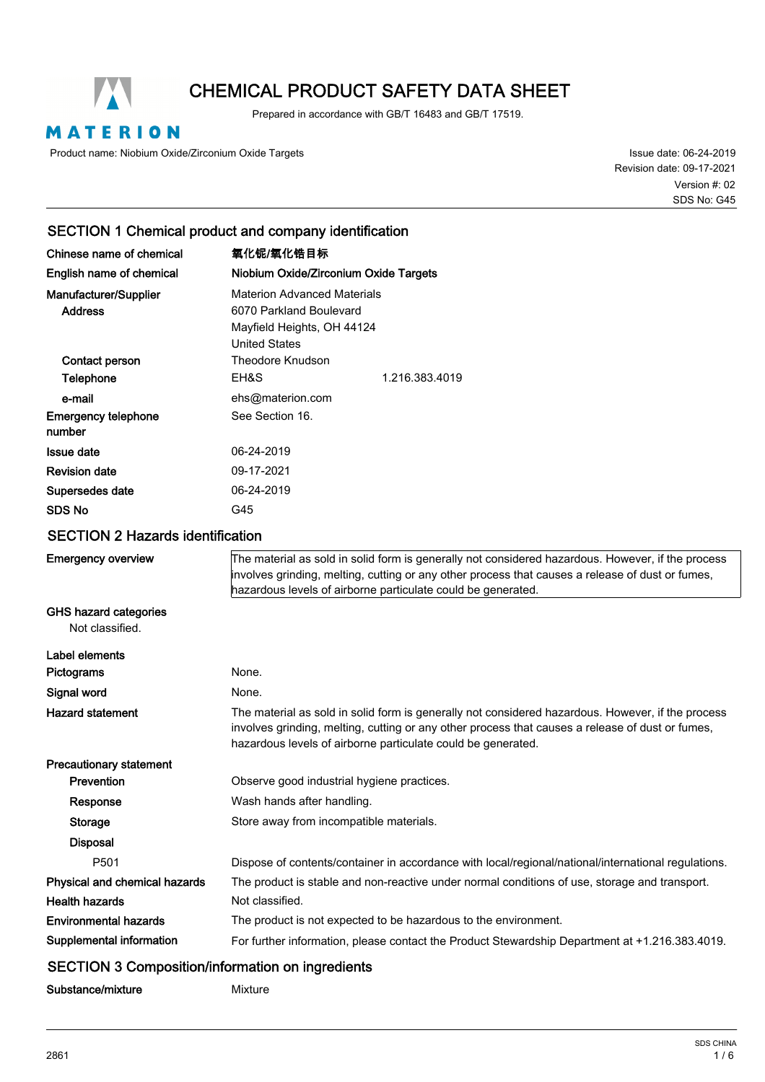

# CHEMICAL PRODUCT SAFETY DATA SHEET

Prepared in accordance with GB/T 16483 and GB/T 17519.

MATERION

Product name: Niobium Oxide/Zirconium Oxide Targets

Issue date: 06-24-2019 Revision date: 09-17-2021 SDS No: G45 Version #: 02

# SECTION 1 Chemical product and company identification

| Chinese name of chemical                        | 氧化铌/氧化锆目标                                                                                                                                                                                                                                                             |                                                                                                     |  |
|-------------------------------------------------|-----------------------------------------------------------------------------------------------------------------------------------------------------------------------------------------------------------------------------------------------------------------------|-----------------------------------------------------------------------------------------------------|--|
| English name of chemical                        | Niobium Oxide/Zirconium Oxide Targets                                                                                                                                                                                                                                 |                                                                                                     |  |
| Manufacturer/Supplier<br><b>Address</b>         | <b>Materion Advanced Materials</b><br>6070 Parkland Boulevard<br>Mayfield Heights, OH 44124<br><b>United States</b>                                                                                                                                                   |                                                                                                     |  |
| Contact person                                  | <b>Theodore Knudson</b>                                                                                                                                                                                                                                               |                                                                                                     |  |
| Telephone                                       | EH&S                                                                                                                                                                                                                                                                  | 1.216.383.4019                                                                                      |  |
| e-mail                                          | ehs@materion.com                                                                                                                                                                                                                                                      |                                                                                                     |  |
| <b>Emergency telephone</b><br>number            | See Section 16.                                                                                                                                                                                                                                                       |                                                                                                     |  |
| <b>Issue date</b>                               | 06-24-2019                                                                                                                                                                                                                                                            |                                                                                                     |  |
| <b>Revision date</b>                            | 09-17-2021                                                                                                                                                                                                                                                            |                                                                                                     |  |
| Supersedes date                                 | 06-24-2019                                                                                                                                                                                                                                                            |                                                                                                     |  |
| <b>SDS No</b>                                   | G45                                                                                                                                                                                                                                                                   |                                                                                                     |  |
| <b>SECTION 2 Hazards identification</b>         |                                                                                                                                                                                                                                                                       |                                                                                                     |  |
| <b>Emergency overview</b>                       | The material as sold in solid form is generally not considered hazardous. However, if the process<br>involves grinding, melting, cutting or any other process that causes a release of dust or fumes,<br>hazardous levels of airborne particulate could be generated. |                                                                                                     |  |
| <b>GHS hazard categories</b><br>Not classified. |                                                                                                                                                                                                                                                                       |                                                                                                     |  |
| Label elements                                  |                                                                                                                                                                                                                                                                       |                                                                                                     |  |
| Pictograms                                      | None.                                                                                                                                                                                                                                                                 |                                                                                                     |  |
| Signal word                                     | None.                                                                                                                                                                                                                                                                 |                                                                                                     |  |
| <b>Hazard statement</b>                         | The material as sold in solid form is generally not considered hazardous. However, if the process<br>involves grinding, melting, cutting or any other process that causes a release of dust or fumes,<br>hazardous levels of airborne particulate could be generated. |                                                                                                     |  |
| <b>Precautionary statement</b>                  |                                                                                                                                                                                                                                                                       |                                                                                                     |  |
| Prevention                                      | Observe good industrial hygiene practices.                                                                                                                                                                                                                            |                                                                                                     |  |
| Response                                        | Wash hands after handling.                                                                                                                                                                                                                                            |                                                                                                     |  |
| <b>Storage</b>                                  | Store away from incompatible materials.                                                                                                                                                                                                                               |                                                                                                     |  |
| <b>Disposal</b>                                 |                                                                                                                                                                                                                                                                       |                                                                                                     |  |
| P501                                            |                                                                                                                                                                                                                                                                       | Dispose of contents/container in accordance with local/regional/national/international regulations. |  |
| Physical and chemical hazards                   |                                                                                                                                                                                                                                                                       | The product is stable and non-reactive under normal conditions of use, storage and transport.       |  |
| <b>Health hazards</b>                           | Not classified.                                                                                                                                                                                                                                                       |                                                                                                     |  |
| <b>Environmental hazards</b>                    |                                                                                                                                                                                                                                                                       | The product is not expected to be hazardous to the environment.                                     |  |
| Supplemental information                        |                                                                                                                                                                                                                                                                       | For further information, please contact the Product Stewardship Department at +1.216.383.4019.      |  |
|                                                 |                                                                                                                                                                                                                                                                       |                                                                                                     |  |

### SECTION 3 Composition/information on ingredients

Substance/mixture Mixture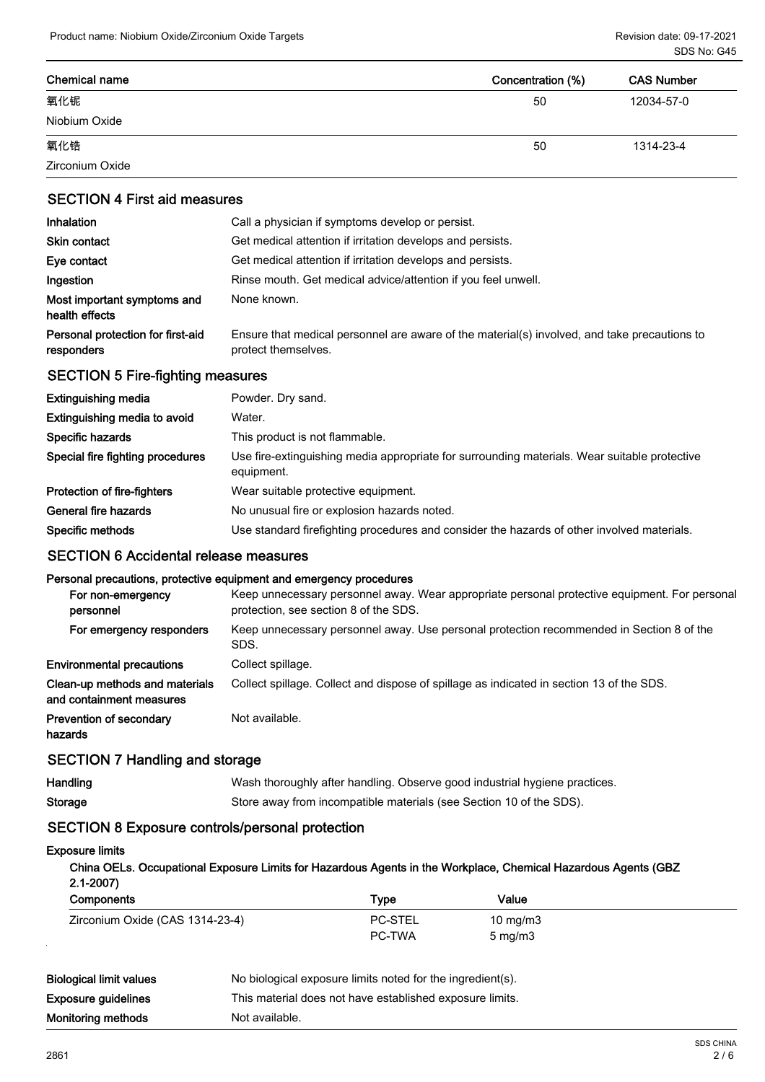| <b>Chemical name</b> | Concentration (%) | <b>CAS Number</b> |
|----------------------|-------------------|-------------------|
| 氧化铌                  | 50                | 12034-57-0        |
| Niobium Oxide        |                   |                   |
| 氧化锆                  | 50                | 1314-23-4         |
| Zirconium Oxide      |                   |                   |

### SECTION 4 First aid measures

| <b>Inhalation</b>                               | Call a physician if symptoms develop or persist.                                                                    |  |  |
|-------------------------------------------------|---------------------------------------------------------------------------------------------------------------------|--|--|
| Skin contact                                    | Get medical attention if irritation develops and persists.                                                          |  |  |
| Eye contact                                     | Get medical attention if irritation develops and persists.                                                          |  |  |
| Ingestion                                       | Rinse mouth. Get medical advice/attention if you feel unwell.                                                       |  |  |
| Most important symptoms and<br>health effects   | None known.                                                                                                         |  |  |
| Personal protection for first-aid<br>responders | Ensure that medical personnel are aware of the material(s) involved, and take precautions to<br>protect themselves. |  |  |

# SECTION 5 Fire-fighting measures

| Extinguishing media              | Powder. Dry sand.                                                                                          |
|----------------------------------|------------------------------------------------------------------------------------------------------------|
| Extinguishing media to avoid     | Water.                                                                                                     |
| Specific hazards                 | This product is not flammable.                                                                             |
| Special fire fighting procedures | Use fire-extinguishing media appropriate for surrounding materials. Wear suitable protective<br>equipment. |
| Protection of fire-fighters      | Wear suitable protective equipment.                                                                        |
| General fire hazards             | No unusual fire or explosion hazards noted.                                                                |
| Specific methods                 | Use standard firefighting procedures and consider the hazards of other involved materials.                 |

### SECTION 6 Accidental release measures

#### Personal precautions, protective equipment and emergency procedures

| For non-emergency<br>personnel                             | Keep unnecessary personnel away. Wear appropriate personal protective equipment. For personal<br>protection, see section 8 of the SDS. |
|------------------------------------------------------------|----------------------------------------------------------------------------------------------------------------------------------------|
| For emergency responders                                   | Keep unnecessary personnel away. Use personal protection recommended in Section 8 of the<br>SDS.                                       |
| <b>Environmental precautions</b>                           | Collect spillage.                                                                                                                      |
| Clean-up methods and materials<br>and containment measures | Collect spillage. Collect and dispose of spillage as indicated in section 13 of the SDS.                                               |
| <b>Prevention of secondary</b><br>hazards                  | Not available.                                                                                                                         |

# SECTION 7 Handling and storage

| Handling | Wash thoroughly after handling. Observe good industrial hygiene practices. |
|----------|----------------------------------------------------------------------------|
| Storage  | Store away from incompatible materials (see Section 10 of the SDS).        |

### SECTION 8 Exposure controls/personal protection

#### Exposure limits

| China OELs. Occupational Exposure Limits for Hazardous Agents in the Workplace, Chemical Hazardous Agents (GBZ |                     |
|----------------------------------------------------------------------------------------------------------------|---------------------|
| $2.1 - 2007$                                                                                                   |                     |
| Armen reported                                                                                                 | \ <i>I</i> _ I. . _ |

| <b>Components</b>               | Туре           | Value            |
|---------------------------------|----------------|------------------|
| Zirconium Oxide (CAS 1314-23-4) | <b>PC-STEL</b> | 10 mg/m $3$      |
|                                 | <b>PC-TWA</b>  | $5 \text{ mg/m}$ |

| Monitoring methods             | Not available.                                             |
|--------------------------------|------------------------------------------------------------|
| <b>Exposure guidelines</b>     | This material does not have established exposure limits.   |
| <b>Biological limit values</b> | No biological exposure limits noted for the ingredient(s). |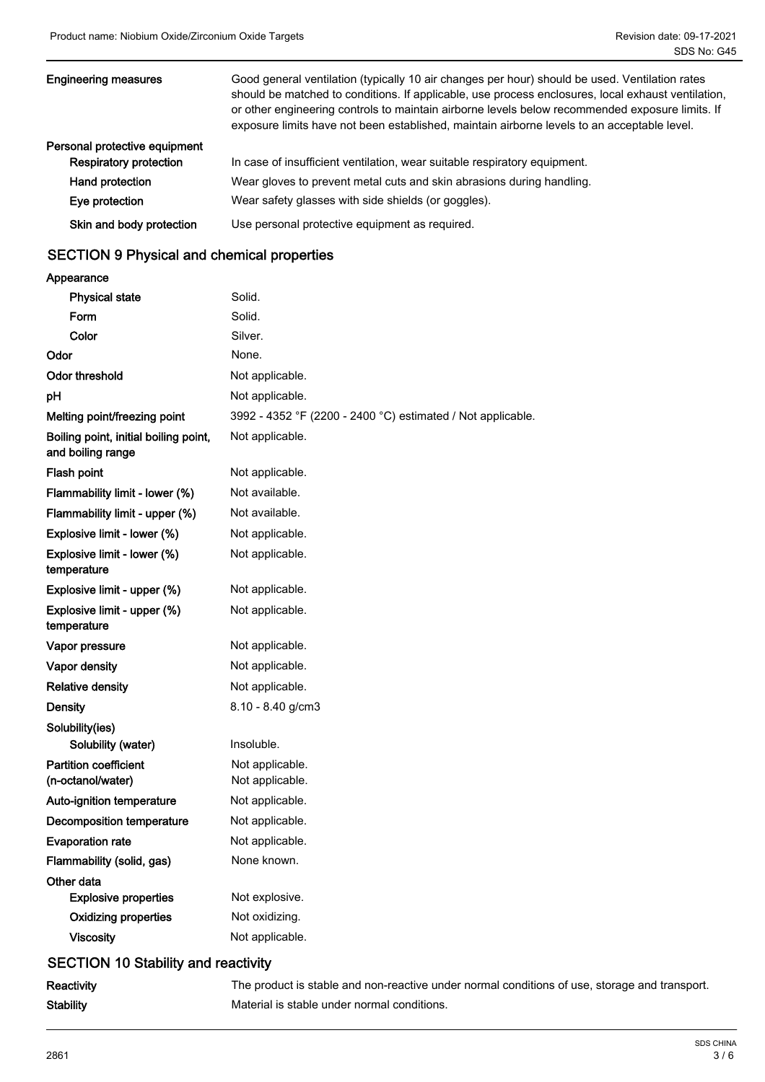| <b>Engineering measures</b>   | Good general ventilation (typically 10 air changes per hour) should be used. Ventilation rates<br>should be matched to conditions. If applicable, use process enclosures, local exhaust ventilation,<br>or other engineering controls to maintain airborne levels below recommended exposure limits. If<br>exposure limits have not been established, maintain airborne levels to an acceptable level. |
|-------------------------------|--------------------------------------------------------------------------------------------------------------------------------------------------------------------------------------------------------------------------------------------------------------------------------------------------------------------------------------------------------------------------------------------------------|
| Personal protective equipment |                                                                                                                                                                                                                                                                                                                                                                                                        |
| <b>Respiratory protection</b> | In case of insufficient ventilation, wear suitable respiratory equipment.                                                                                                                                                                                                                                                                                                                              |
| Hand protection               | Wear gloves to prevent metal cuts and skin abrasions during handling.                                                                                                                                                                                                                                                                                                                                  |
| Eye protection                | Wear safety glasses with side shields (or goggles).                                                                                                                                                                                                                                                                                                                                                    |
| Skin and body protection      | Use personal protective equipment as required.                                                                                                                                                                                                                                                                                                                                                         |

# SECTION 9 Physical and chemical properties

| Appearance                                                 |                                                             |
|------------------------------------------------------------|-------------------------------------------------------------|
| <b>Physical state</b>                                      | Solid.                                                      |
| Form                                                       | Solid.                                                      |
| Color                                                      | Silver.                                                     |
| Odor                                                       | None.                                                       |
| <b>Odor threshold</b>                                      | Not applicable.                                             |
| pH                                                         | Not applicable.                                             |
| Melting point/freezing point                               | 3992 - 4352 °F (2200 - 2400 °C) estimated / Not applicable. |
| Boiling point, initial boiling point,<br>and boiling range | Not applicable.                                             |
| Flash point                                                | Not applicable.                                             |
| Flammability limit - lower (%)                             | Not available.                                              |
| Flammability limit - upper (%)                             | Not available.                                              |
| Explosive limit - lower (%)                                | Not applicable.                                             |
| Explosive limit - lower (%)<br>temperature                 | Not applicable.                                             |
| Explosive limit - upper (%)                                | Not applicable.                                             |
| Explosive limit - upper (%)<br>temperature                 | Not applicable.                                             |
| Vapor pressure                                             | Not applicable.                                             |
| Vapor density                                              | Not applicable.                                             |
| <b>Relative density</b>                                    | Not applicable.                                             |
| <b>Density</b>                                             | $8.10 - 8.40$ g/cm3                                         |
| Solubility(ies)                                            |                                                             |
| Solubility (water)                                         | Insoluble.                                                  |
| <b>Partition coefficient</b><br>(n-octanol/water)          | Not applicable.<br>Not applicable.                          |
| Auto-ignition temperature                                  | Not applicable.                                             |
| Decomposition temperature                                  | Not applicable.                                             |
| <b>Evaporation rate</b>                                    | Not applicable.                                             |
| Flammability (solid, gas)                                  | None known.                                                 |
| Other data                                                 |                                                             |
| <b>Explosive properties</b>                                | Not explosive.                                              |
| <b>Oxidizing properties</b>                                | Not oxidizing.                                              |
| <b>Viscosity</b>                                           | Not applicable.                                             |
| <b>SECTION 10 Stability and reactivity</b>                 |                                                             |
|                                                            |                                                             |

|  |           | ------- |
|--|-----------|---------|
|  |           |         |
|  | Stahility |         |

Reactivity The product is stable and non-reactive under normal conditions of use, storage and transport. Stability **Stability** Material is stable under normal conditions.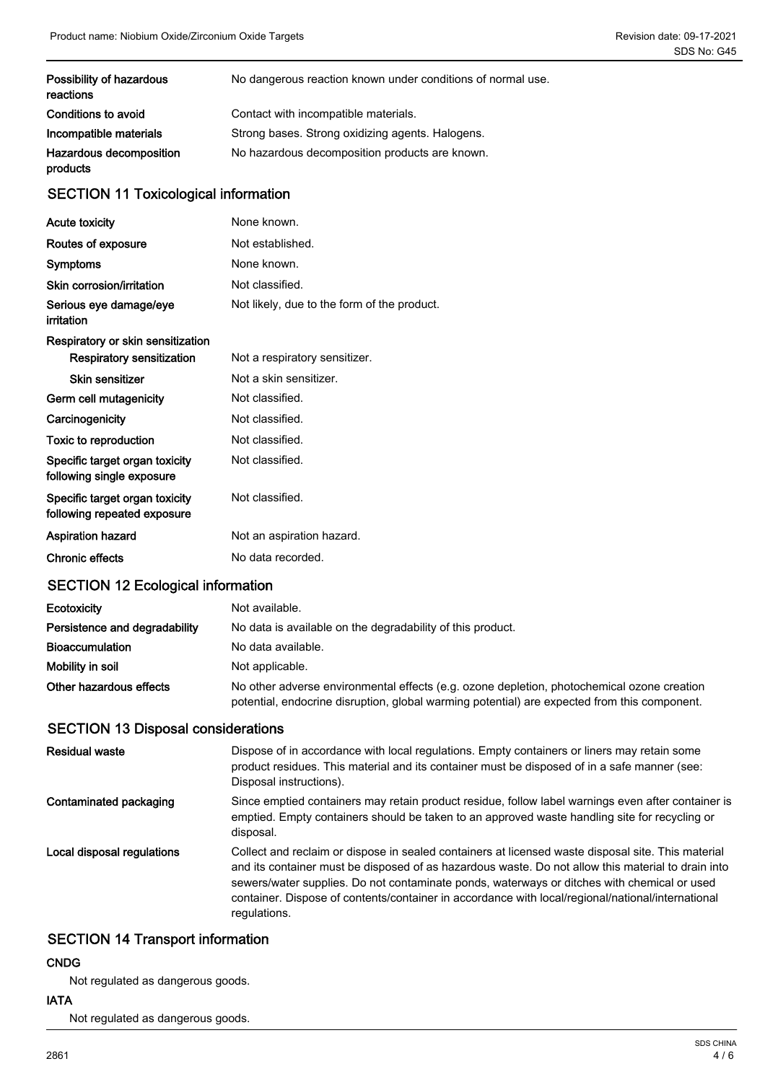| Possibility of hazardous<br>reactions | No dangerous reaction known under conditions of normal use. |
|---------------------------------------|-------------------------------------------------------------|
| Conditions to avoid                   | Contact with incompatible materials.                        |
| Incompatible materials                | Strong bases. Strong oxidizing agents. Halogens.            |
| Hazardous decomposition<br>products   | No hazardous decomposition products are known.              |

# SECTION 11 Toxicological information

| <b>Acute toxicity</b>                                         | None known.                                 |
|---------------------------------------------------------------|---------------------------------------------|
| Routes of exposure                                            | Not established.                            |
| Symptoms                                                      | None known.                                 |
| Skin corrosion/irritation                                     | Not classified.                             |
| Serious eye damage/eye<br>irritation                          | Not likely, due to the form of the product. |
| Respiratory or skin sensitization                             |                                             |
| <b>Respiratory sensitization</b>                              | Not a respiratory sensitizer.               |
| <b>Skin sensitizer</b>                                        | Not a skin sensitizer.                      |
| Germ cell mutagenicity                                        | Not classified.                             |
| Carcinogenicity                                               | Not classified.                             |
| Toxic to reproduction                                         | Not classified.                             |
| Specific target organ toxicity<br>following single exposure   | Not classified.                             |
| Specific target organ toxicity<br>following repeated exposure | Not classified.                             |
| <b>Aspiration hazard</b>                                      | Not an aspiration hazard.                   |
| <b>Chronic effects</b>                                        | No data recorded.                           |

# SECTION 12 Ecological information

| <b>Ecotoxicity</b>            | Not available.                                                                                                                                                                             |
|-------------------------------|--------------------------------------------------------------------------------------------------------------------------------------------------------------------------------------------|
| Persistence and degradability | No data is available on the degradability of this product.                                                                                                                                 |
| <b>Bioaccumulation</b>        | No data available.                                                                                                                                                                         |
| Mobility in soil              | Not applicable.                                                                                                                                                                            |
| Other hazardous effects       | No other adverse environmental effects (e.g. ozone depletion, photochemical ozone creation<br>potential, endocrine disruption, global warming potential) are expected from this component. |

# SECTION 13 Disposal considerations

| Residual waste             | Dispose of in accordance with local regulations. Empty containers or liners may retain some<br>product residues. This material and its container must be disposed of in a safe manner (see:<br>Disposal instructions).                                                                                                                                                                                                       |
|----------------------------|------------------------------------------------------------------------------------------------------------------------------------------------------------------------------------------------------------------------------------------------------------------------------------------------------------------------------------------------------------------------------------------------------------------------------|
| Contaminated packaging     | Since emptied containers may retain product residue, follow label warnings even after container is<br>emptied. Empty containers should be taken to an approved waste handling site for recycling or<br>disposal.                                                                                                                                                                                                             |
| Local disposal regulations | Collect and reclaim or dispose in sealed containers at licensed waste disposal site. This material<br>and its container must be disposed of as hazardous waste. Do not allow this material to drain into<br>sewers/water supplies. Do not contaminate ponds, waterways or ditches with chemical or used<br>container. Dispose of contents/container in accordance with local/regional/national/international<br>regulations. |

# SECTION 14 Transport information

### CNDG

Not regulated as dangerous goods.

#### IATA

Not regulated as dangerous goods.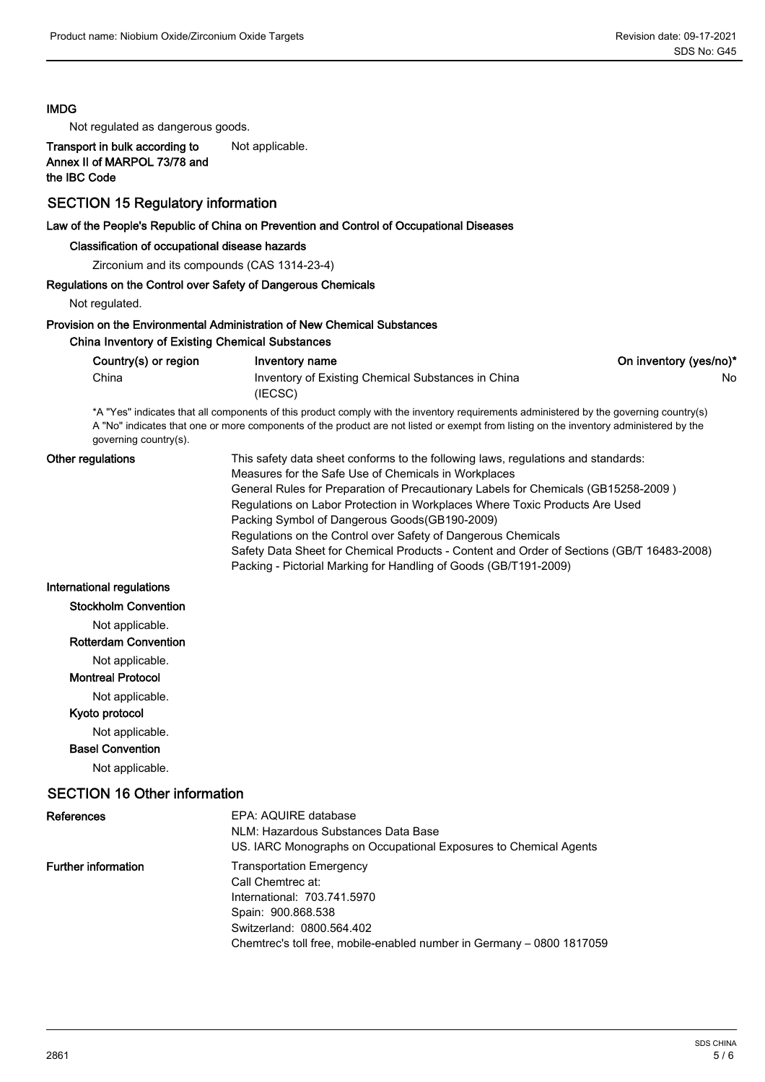#### IMDG

Not regulated as dangerous goods.

Transport in bulk according to Not applicable. Annex II of MARPOL 73/78 and the IBC Code

#### SECTION 15 Regulatory information

#### Law of the People's Republic of China on Prevention and Control of Occupational Diseases

#### Classification of occupational disease hazards

Zirconium and its compounds (CAS 1314-23-4)

#### Regulations on the Control over Safety of Dangerous Chemicals

Not regulated.

#### Provision on the Environmental Administration of New Chemical Substances

#### China Inventory of Existing Chemical Substances

| Country(s) or region | Inventory name                                     | On inventory (yes/no)* |
|----------------------|----------------------------------------------------|------------------------|
| China                | Inventory of Existing Chemical Substances in China | No                     |
|                      | (IECSC)                                            |                        |

\*A "Yes" indicates that all components of this product comply with the inventory requirements administered by the governing country(s) A "No" indicates that one or more components of the product are not listed or exempt from listing on the inventory administered by the governing country(s).

| Other regulations | This safety data sheet conforms to the following laws, regulations and standards:         |
|-------------------|-------------------------------------------------------------------------------------------|
|                   | Measures for the Safe Use of Chemicals in Workplaces                                      |
|                   | General Rules for Preparation of Precautionary Labels for Chemicals (GB15258-2009)        |
|                   | Regulations on Labor Protection in Workplaces Where Toxic Products Are Used               |
|                   | Packing Symbol of Dangerous Goods (GB190-2009)                                            |
|                   | Regulations on the Control over Safety of Dangerous Chemicals                             |
|                   | Safety Data Sheet for Chemical Products - Content and Order of Sections (GB/T 16483-2008) |
|                   | Packing - Pictorial Marking for Handling of Goods (GB/T191-2009)                          |
|                   |                                                                                           |

#### International regulations

- Stockholm Convention
	- Not applicable.

## Rotterdam Convention

Not applicable.

### Montreal Protocol

Not applicable.

### Kyoto protocol

Not applicable.

### Basel Convention

Not applicable.

### SECTION 16 Other information

| <b>References</b>          | EPA: AQUIRE database<br>NLM: Hazardous Substances Data Base<br>US. IARC Monographs on Occupational Exposures to Chemical Agents |
|----------------------------|---------------------------------------------------------------------------------------------------------------------------------|
| <b>Further information</b> | <b>Transportation Emergency</b><br>Call Chemtrec at:<br>International: 703.741.5970<br>Spain: 900.868.538                       |
|                            | Switzerland: 0800.564.402<br>Chemtrec's toll free, mobile-enabled number in Germany - 0800 1817059                              |